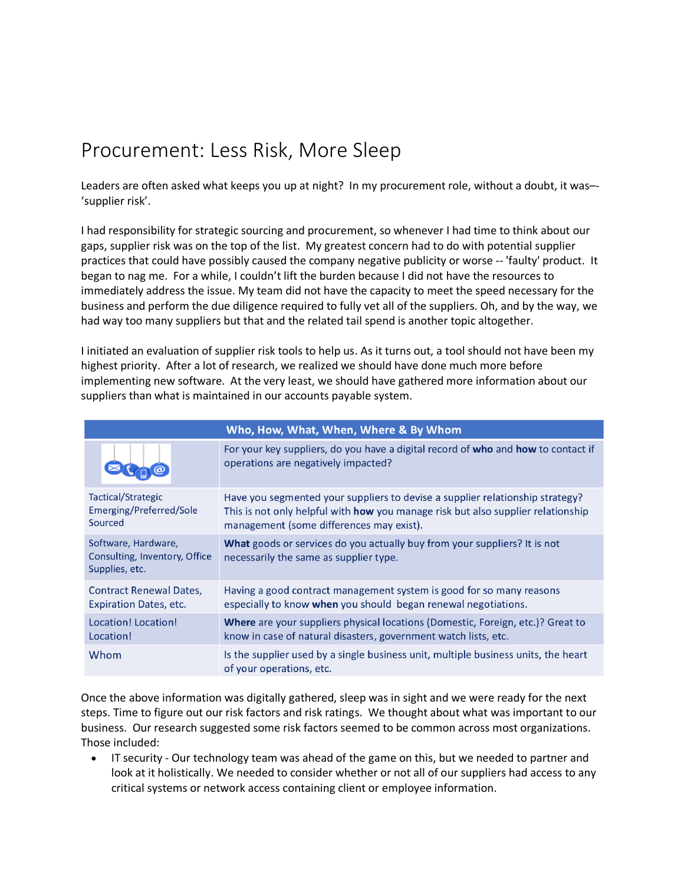## Procurement: Less Risk, More Sleep

Leaders are often asked what keeps you up at night? In my procurement role, without a doubt, it was–- 'supplier risk'.

I had responsibility for strategic sourcing and procurement, so whenever I had time to think about our gaps, supplier risk was on the top of the list. My greatest concern had to do with potential supplier practices that could have possibly caused the company negative publicity or worse -- 'faulty' product. It began to nag me. For a while, I couldn't lift the burden because I did not have the resources to immediately address the issue. My team did not have the capacity to meet the speed necessary for the business and perform the due diligence required to fully vet all of the suppliers. Oh, and by the way, we had way too many suppliers but that and the related tail spend is another topic altogether.

I initiated an evaluation of supplier risk tools to help us. As it turns out, a tool should not have been my highest priority. After a lot of research, we realized we should have done much more before implementing new software. At the very least, we should have gathered more information about our suppliers than what is maintained in our accounts payable system.

| Who, How, What, When, Where & By Whom                                  |                                                                                                                                                                                                                      |
|------------------------------------------------------------------------|----------------------------------------------------------------------------------------------------------------------------------------------------------------------------------------------------------------------|
|                                                                        | For your key suppliers, do you have a digital record of who and how to contact if<br>operations are negatively impacted?                                                                                             |
| Tactical/Strategic<br>Emerging/Preferred/Sole<br>Sourced               | Have you segmented your suppliers to devise a supplier relationship strategy?<br>This is not only helpful with <b>how</b> you manage risk but also supplier relationship<br>management (some differences may exist). |
| Software, Hardware,<br>Consulting, Inventory, Office<br>Supplies, etc. | <b>What</b> goods or services do you actually buy from your suppliers? It is not<br>necessarily the same as supplier type.                                                                                           |
| <b>Contract Renewal Dates,</b><br><b>Expiration Dates, etc.</b>        | Having a good contract management system is good for so many reasons<br>especially to know when you should began renewal negotiations.                                                                               |
| Location! Location!<br>Location!                                       | <b>Where</b> are your suppliers physical locations (Domestic, Foreign, etc.)? Great to<br>know in case of natural disasters, government watch lists, etc.                                                            |
| Whom                                                                   | Is the supplier used by a single business unit, multiple business units, the heart<br>of your operations, etc.                                                                                                       |

Once the above information was digitally gathered, sleep was in sight and we were ready for the next steps. Time to figure out our risk factors and risk ratings. We thought about what was important to our business. Our research suggested some risk factors seemed to be common across most organizations. Those included:

• IT security - Our technology team was ahead of the game on this, but we needed to partner and look at it holistically. We needed to consider whether or not all of our suppliers had access to any critical systems or network access containing client or employee information.